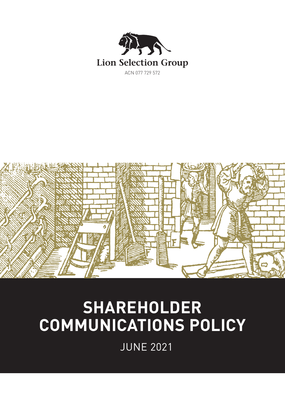



# **SHAREHOLDER COMMUNICATIONS POLICY**

JUNE 2021